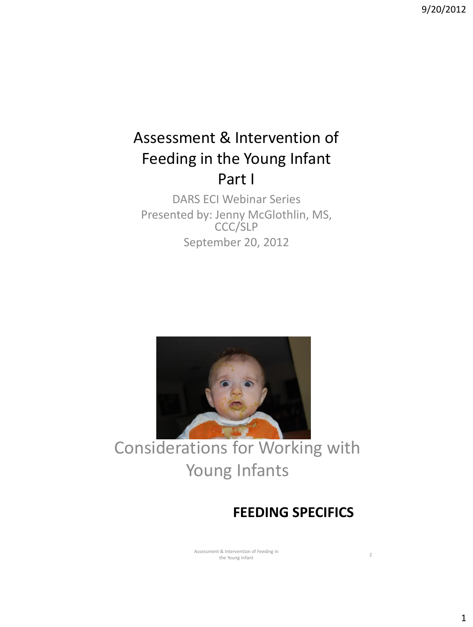## Assessment & Intervention of Feeding in the Young Infant Part I

DARS ECI Webinar Series Presented by: Jenny McGlothlin, MS, CCC/SLP September 20, 2012



Considerations for Working with Young Infants

#### **FEEDING SPECIFICS**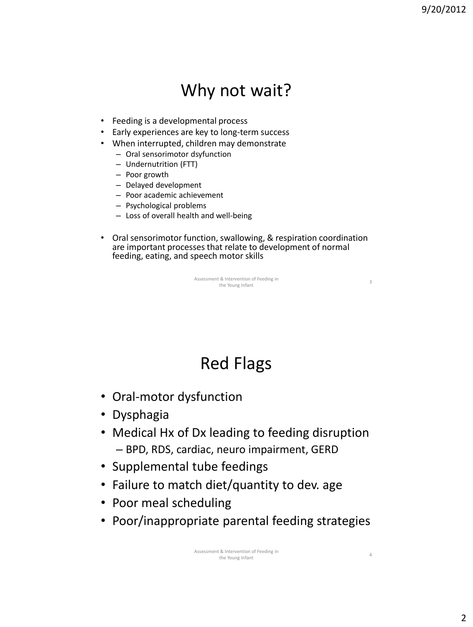## Why not wait?

- Feeding is a developmental process
- Early experiences are key to long-term success
- When interrupted, children may demonstrate
	- Oral sensorimotor dsyfunction
	- Undernutrition (FTT)
	- Poor growth
	- Delayed development
	- Poor academic achievement
	- Psychological problems
	- Loss of overall health and well-being
- Oral sensorimotor function, swallowing, & respiration coordination are important processes that relate to development of normal feeding, eating, and speech motor skills

Assessment & Intervention of Feeding in the Young Infant<br>
3
the Young Infant

## Red Flags

- Oral-motor dysfunction
- Dysphagia
- Medical Hx of Dx leading to feeding disruption – BPD, RDS, cardiac, neuro impairment, GERD
- Supplemental tube feedings
- Failure to match diet/quantity to dev. age
- Poor meal scheduling
- Poor/inappropriate parental feeding strategies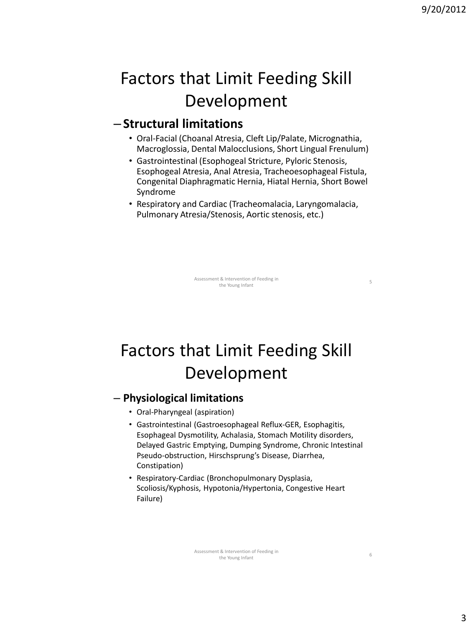5

6

## Factors that Limit Feeding Skill Development

#### – **Structural limitations**

- Oral-Facial (Choanal Atresia, Cleft Lip/Palate, Micrognathia, Macroglossia, Dental Malocclusions, Short Lingual Frenulum)
- Gastrointestinal (Esophogeal Stricture, Pyloric Stenosis, Esophogeal Atresia, Anal Atresia, Tracheoesophageal Fistula, Congenital Diaphragmatic Hernia, Hiatal Hernia, Short Bowel Syndrome
- Respiratory and Cardiac (Tracheomalacia, Laryngomalacia, Pulmonary Atresia/Stenosis, Aortic stenosis, etc.)

Assessment & Intervention of Feeding in the Young Infant

## Factors that Limit Feeding Skill Development

#### – **Physiological limitations**

- Oral-Pharyngeal (aspiration)
- Gastrointestinal (Gastroesophageal Reflux-GER, Esophagitis, Esophageal Dysmotility, Achalasia, Stomach Motility disorders, Delayed Gastric Emptying, Dumping Syndrome, Chronic Intestinal Pseudo-obstruction, Hirschsprung's Disease, Diarrhea, Constipation)
- Respiratory-Cardiac (Bronchopulmonary Dysplasia, Scoliosis/Kyphosis, Hypotonia/Hypertonia, Congestive Heart Failure)

Assessment & Intervention of Feeding in the Young Infant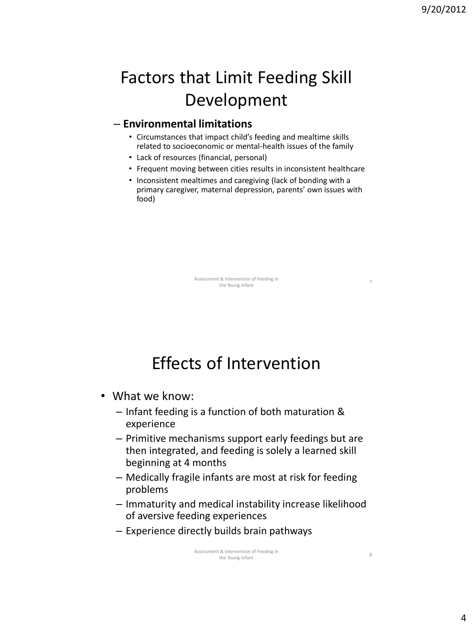7

## Factors that Limit Feeding Skill Development

#### – **Environmental limitations**

- Circumstances that impact child's feeding and mealtime skills related to socioeconomic or mental-health issues of the family
- Lack of resources (financial, personal)
- Frequent moving between cities results in inconsistent healthcare
- Inconsistent mealtimes and caregiving (lack of bonding with a primary caregiver, maternal depression, parents' own issues with food)

Assessment & Intervention of Feeding in the Young Infant

## Effects of Intervention

- What we know:
	- Infant feeding is a function of both maturation & experience
	- Primitive mechanisms support early feedings but are then integrated, and feeding is solely a learned skill beginning at 4 months
	- Medically fragile infants are most at risk for feeding problems
	- Immaturity and medical instability increase likelihood of aversive feeding experiences
	- Experience directly builds brain pathways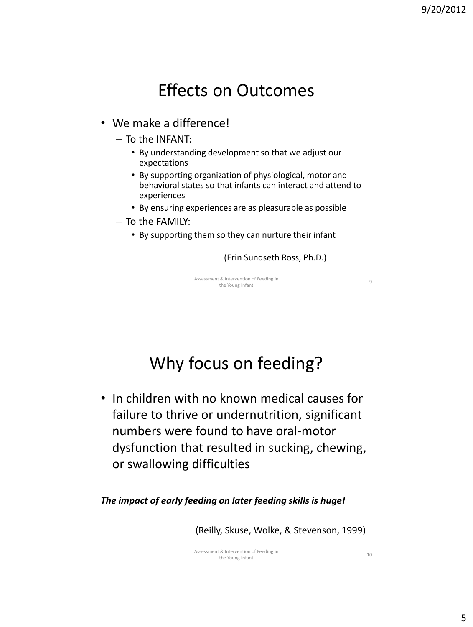## Effects on Outcomes

#### • We make a difference!

- To the INFANT:
	- By understanding development so that we adjust our expectations
	- By supporting organization of physiological, motor and behavioral states so that infants can interact and attend to experiences
	- By ensuring experiences are as pleasurable as possible
- To the FAMILY:
	- By supporting them so they can nurture their infant

(Erin Sundseth Ross, Ph.D.)

Assessment & Intervention of Feeding in the Young Infant<br>the Young Infant

## Why focus on feeding?

• In children with no known medical causes for failure to thrive or undernutrition, significant numbers were found to have oral-motor dysfunction that resulted in sucking, chewing, or swallowing difficulties

*The impact of early feeding on later feeding skills is huge!*

(Reilly, Skuse, Wolke, & Stevenson, 1999)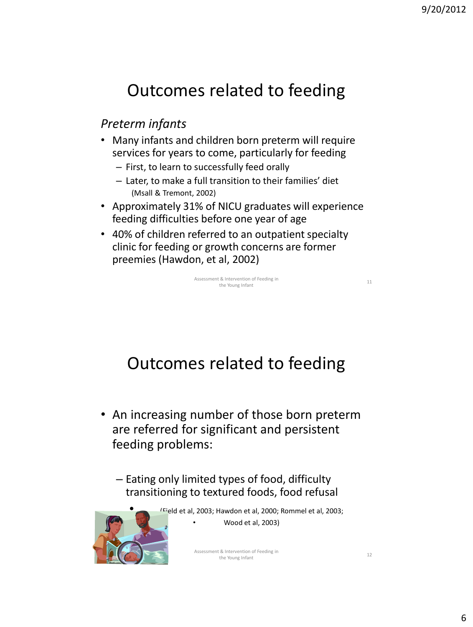## Outcomes related to feeding

#### *Preterm infants*

- Many infants and children born preterm will require services for years to come, particularly for feeding
	- First, to learn to successfully feed orally
	- Later, to make a full transition to their families' diet (Msall & Tremont, 2002)
- Approximately 31% of NICU graduates will experience feeding difficulties before one year of age
- 40% of children referred to an outpatient specialty clinic for feeding or growth concerns are former preemies (Hawdon, et al, 2002)

Assessment & Intervention of Feeding in the Young Infant

Outcomes related to feeding

- An increasing number of those born preterm are referred for significant and persistent feeding problems:
	- Eating only limited types of food, difficulty transitioning to textured foods, food refusal



• (Field et al, 2003; Hawdon et al, 2000; Rommel et al, 2003; • Wood et al, 2003)

> Assessment & Intervention of Feeding in the Young Infant

11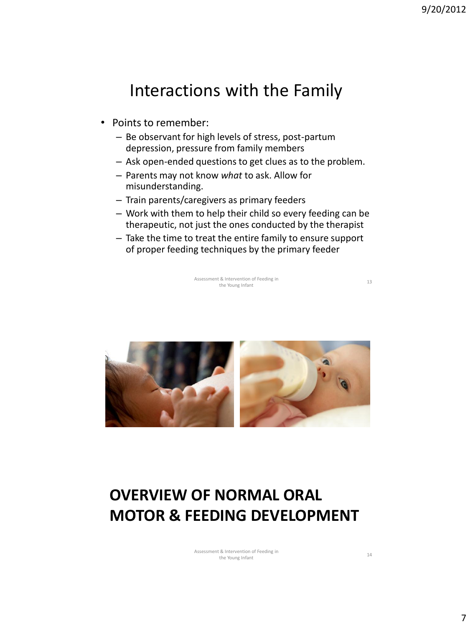#### Interactions with the Family

- Points to remember:
	- Be observant for high levels of stress, post-partum depression, pressure from family members
	- Ask open-ended questions to get clues as to the problem.
	- Parents may not know *what* to ask. Allow for misunderstanding.
	- Train parents/caregivers as primary feeders
	- Work with them to help their child so every feeding can be therapeutic, not just the ones conducted by the therapist
	- Take the time to treat the entire family to ensure support of proper feeding techniques by the primary feeder

Assessment & Intervention of Feeding in it & Intervention of Feeding in<br>the Young Infant 13

## **OVERVIEW OF NORMAL ORAL MOTOR & FEEDING DEVELOPMENT**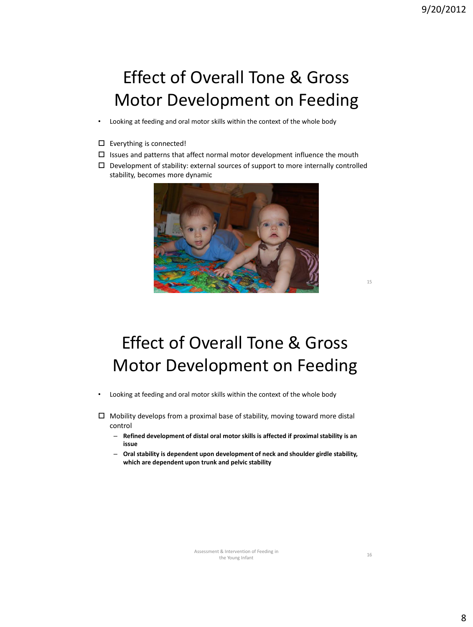## Effect of Overall Tone & Gross Motor Development on Feeding

- Looking at feeding and oral motor skills within the context of the whole body
- Everything is connected!
- $\square$  Issues and patterns that affect normal motor development influence the mouth
- $\Box$  Development of stability: external sources of support to more internally controlled stability, becomes more dynamic



## Effect of Overall Tone & Gross Motor Development on Feeding

• Looking at feeding and oral motor skills within the context of the whole body

 $\Box$  Mobility develops from a proximal base of stability, moving toward more distal control

- **Refined development of distal oral motor skills is affected if proximal stability is an issue**
- **Oral stability is dependent upon development of neck and shoulder girdle stability, which are dependent upon trunk and pelvic stability**

Assessment & Intervention of Feeding in the Young Infant

16

15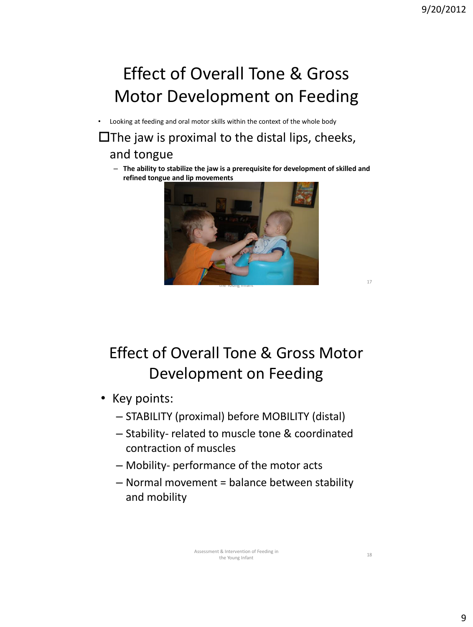# Effect of Overall Tone & Gross Motor Development on Feeding

• Looking at feeding and oral motor skills within the context of the whole body

#### $\square$  The jaw is proximal to the distal lips, cheeks, and tongue

– **The ability to stabilize the jaw is a prerequisite for development of skilled and refined tongue and lip movements**



Effect of Overall Tone & Gross Motor Development on Feeding

- Key points:
	- STABILITY (proximal) before MOBILITY (distal)
	- Stability- related to muscle tone & coordinated contraction of muscles
	- Mobility- performance of the motor acts
	- Normal movement = balance between stability and mobility

17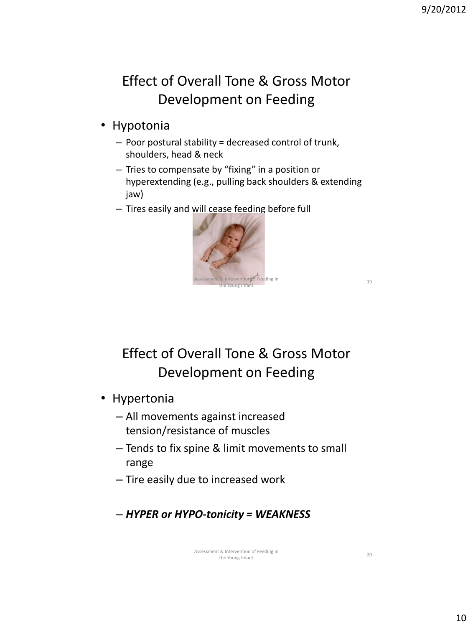#### Effect of Overall Tone & Gross Motor Development on Feeding

- Hypotonia
	- Poor postural stability = decreased control of trunk, shoulders, head & neck
	- Tries to compensate by "fixing" in a position or hyperextending (e.g., pulling back shoulders & extending jaw)
	- Tires easily and will cease feeding before full



Effect of Overall Tone & Gross Motor Development on Feeding

- Hypertonia
	- All movements against increased tension/resistance of muscles
	- Tends to fix spine & limit movements to small range
	- Tire easily due to increased work
	- *HYPER or HYPO-tonicity = WEAKNESS*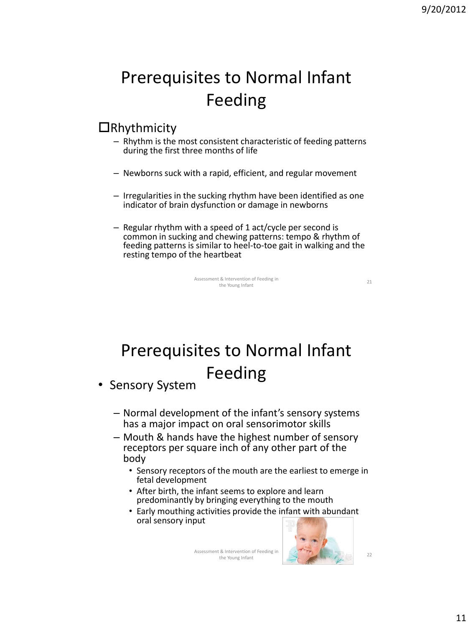## Prerequisites to Normal Infant Feeding

#### $\Box$ Rhythmicity

- Rhythm is the most consistent characteristic of feeding patterns during the first three months of life
- Newborns suck with a rapid, efficient, and regular movement
- Irregularities in the sucking rhythm have been identified as one indicator of brain dysfunction or damage in newborns
- Regular rhythm with a speed of 1 act/cycle per second is common in sucking and chewing patterns: tempo & rhythm of feeding patterns is similar to heel-to-toe gait in walking and the resting tempo of the heartbeat

Assessment & Intervention of Feeding in the Young Infant

21

# Prerequisites to Normal Infant Feeding

• Sensory System

- Normal development of the infant's sensory systems has a major impact on oral sensorimotor skills
- Mouth & hands have the highest number of sensory receptors per square inch of any other part of the body
	- Sensory receptors of the mouth are the earliest to emerge in fetal development
	- After birth, the infant seems to explore and learn predominantly by bringing everything to the mouth
	- Early mouthing activities provide the infant with abundant oral sensory input

Assessment & Intervention of Feeding in the Young Infant



22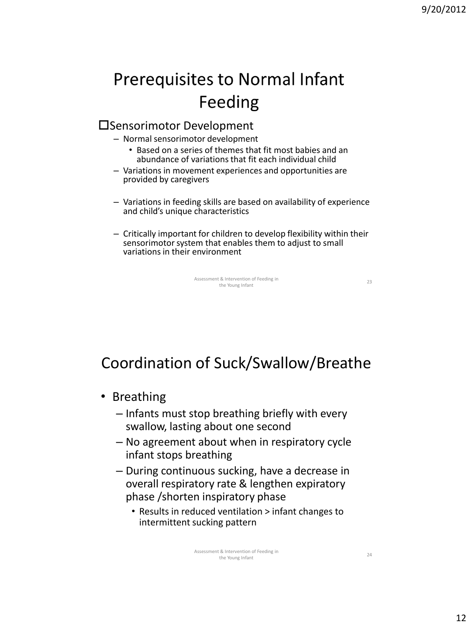# **Prerequisites to Normal Infant** Feeding

#### Sensorimotor Development

- Normal sensorimotor development
	- Based on a series of themes that fit most babies and an abundance of variations that fit each individual child
- Variations in movement experiences and opportunities are provided by caregivers
- Variations in feeding skills are based on availability of experience and child's unique characteristics
- Critically important for children to develop flexibility within their sensorimotor system that enables them to adjust to small variations in their environment

Assessment & Intervention of Feeding in the Young Infant

23

## Coordination of Suck/Swallow/Breathe

- Breathing
	- Infants must stop breathing briefly with every swallow, lasting about one second
	- No agreement about when in respiratory cycle infant stops breathing
	- During continuous sucking, have a decrease in overall respiratory rate & lengthen expiratory phase /shorten inspiratory phase
		- Results in reduced ventilation > infant changes to intermittent sucking pattern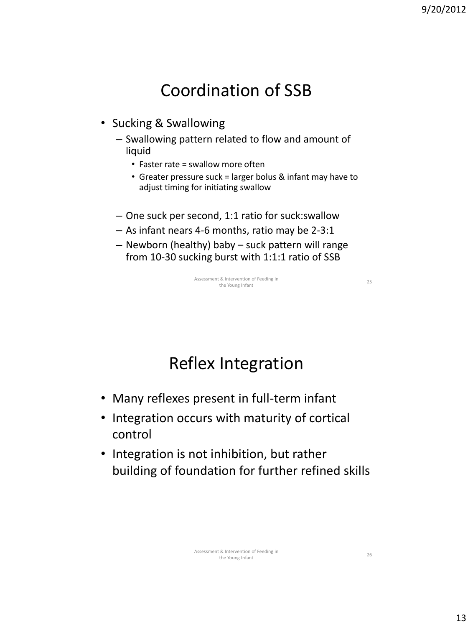## Coordination of SSB

- Sucking & Swallowing
	- Swallowing pattern related to flow and amount of liquid
		- Faster rate = swallow more often
		- Greater pressure suck = larger bolus & infant may have to adjust timing for initiating swallow
	- One suck per second, 1:1 ratio for suck:swallow
	- As infant nears 4-6 months, ratio may be 2-3:1
	- Newborn (healthy) baby suck pattern will range from 10-30 sucking burst with 1:1:1 ratio of SSB

Assessment & Intervention of Feeding in the Young Infant<br>the Young Infant

Reflex Integration

- Many reflexes present in full-term infant
- Integration occurs with maturity of cortical control
- Integration is not inhibition, but rather building of foundation for further refined skills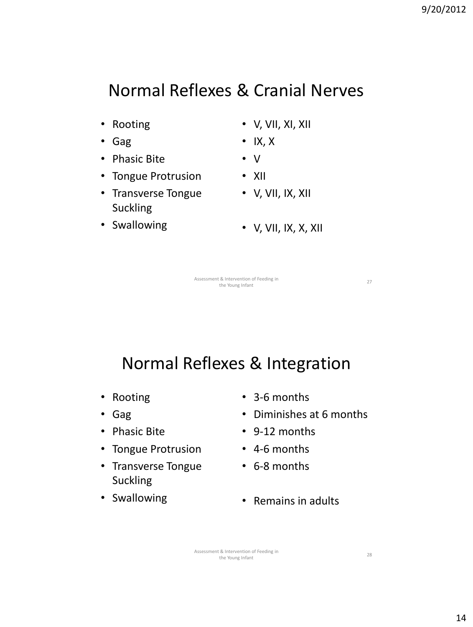## Normal Reflexes & Cranial Nerves

- Rooting
- Gag
- Phasic Bite
- Tongue Protrusion
- Transverse Tongue Suckling
- Swallowing
- V, VII, XI, XII
- IX, X
- V
- XII
- $\bullet\quad$  V, VII, IX, XII
- V, VII, IX, X, XII

Assessment & Intervention of Feeding in it & Intervention of Feeding in<br>
the Young Infant 27

Normal Reflexes & Integration

- Rooting
- Gag
- Phasic Bite
- Tongue Protrusion
- Transverse Tongue Suckling
- Swallowing
- 3-6 months
- Diminishes at 6 months
- 9-12 months
- 4-6 months
- 6-8 months
- Remains in adults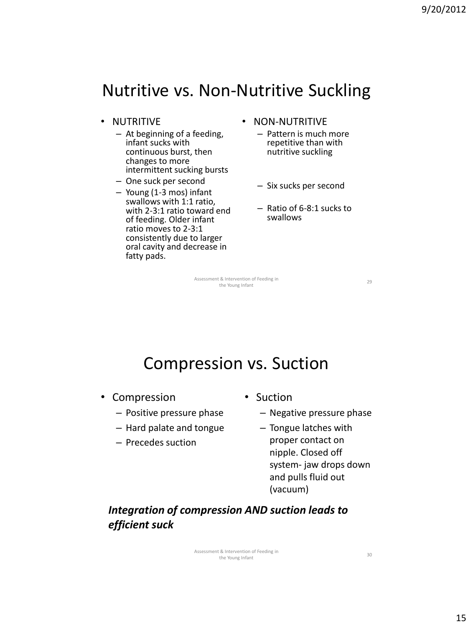## Nutritive vs. Non-Nutritive Suckling

- NUTRITIVE
	- At beginning of a feeding, infant sucks with continuous burst, then changes to more intermittent sucking bursts
	- One suck per second
	- Young (1-3 mos) infant swallows with 1:1 ratio, with 2-3:1 ratio toward end of feeding. Older infant ratio moves to 2-3:1 consistently due to larger oral cavity and decrease in fatty pads.
- NON-NUTRITIVE
	- Pattern is much more repetitive than with nutritive suckling
	- Six sucks per second
	- Ratio of 6-8:1 sucks to swallows

Assessment & Intervention of Feeding in the Young Infant<br>
29 the Young Infant

Compression vs. Suction

- Compression
	- Positive pressure phase
	- Hard palate and tongue
	- Precedes suction
- Suction
	- Negative pressure phase
	- Tongue latches with proper contact on nipple. Closed off system- jaw drops down and pulls fluid out (vacuum)

*Integration of compression AND suction leads to efficient suck*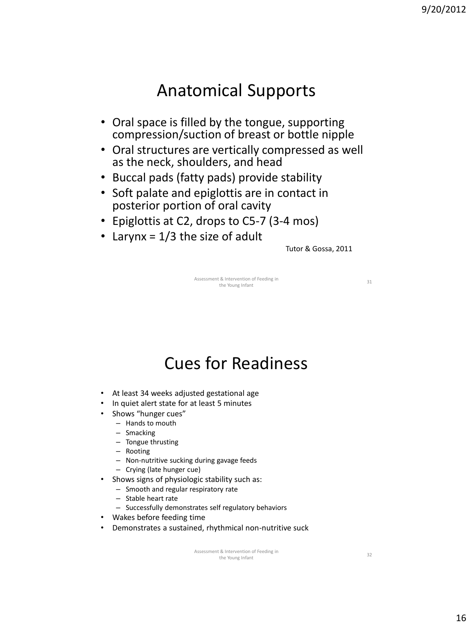### Anatomical Supports

- Oral space is filled by the tongue, supporting compression/suction of breast or bottle nipple
- Oral structures are vertically compressed as well as the neck, shoulders, and head
- Buccal pads (fatty pads) provide stability
- Soft palate and epiglottis are in contact in posterior portion of oral cavity
- Epiglottis at C2, drops to C5-7 (3-4 mos)
- Larynx =  $1/3$  the size of adult

Tutor & Gossa, 2011

Assessment & Intervention of Feeding in the Young Infant  $\frac{31}{2}$ 

Cues for Readiness

- At least 34 weeks adjusted gestational age
- In quiet alert state for at least 5 minutes
- Shows "hunger cues"
	- Hands to mouth
	- Smacking
	- Tongue thrusting
	- Rooting
	- Non-nutritive sucking during gavage feeds
	- Crying (late hunger cue)
- Shows signs of physiologic stability such as:
	- Smooth and regular respiratory rate
	- Stable heart rate
	- Successfully demonstrates self regulatory behaviors
- Wakes before feeding time
- Demonstrates a sustained, rhythmical non-nutritive suck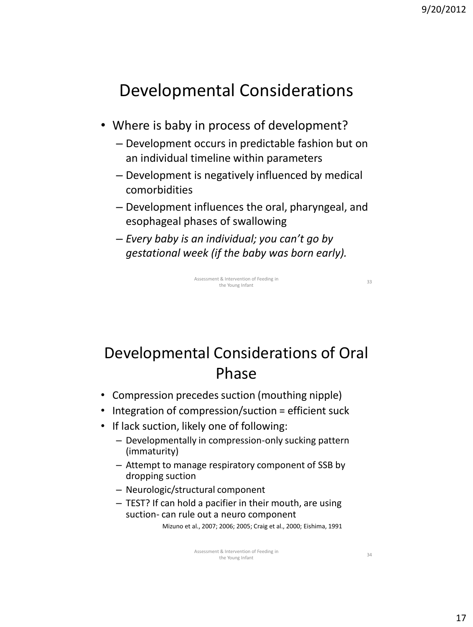## Developmental Considerations

- Where is baby in process of development?
	- Development occurs in predictable fashion but on an individual timeline within parameters
	- Development is negatively influenced by medical comorbidities
	- Development influences the oral, pharyngeal, and esophageal phases of swallowing
	- *Every baby is an individual; you can't go by gestational week (if the baby was born early).*

Assessment & Intervention of Feeding in the Young Infant<br>the Young Infant 33

## Developmental Considerations of Oral Phase

- Compression precedes suction (mouthing nipple)
- Integration of compression/suction = efficient suck
- If lack suction, likely one of following:
	- Developmentally in compression-only sucking pattern (immaturity)
	- Attempt to manage respiratory component of SSB by dropping suction
	- Neurologic/structural component
	- TEST? If can hold a pacifier in their mouth, are using suction- can rule out a neuro component

Mizuno et al., 2007; 2006; 2005; Craig et al., 2000; Eishima, 1991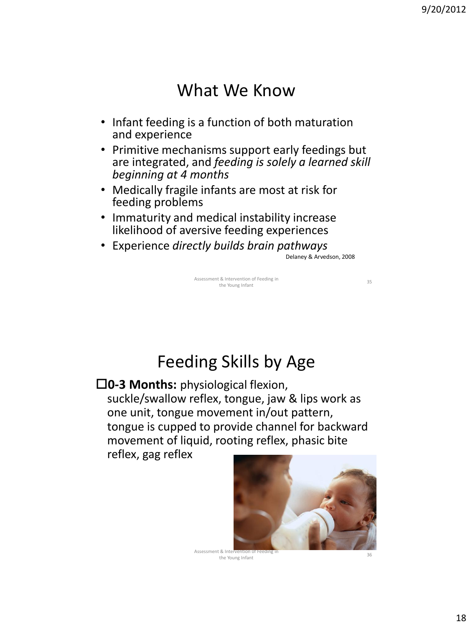### What We Know

- Infant feeding is a function of both maturation and experience
- Primitive mechanisms support early feedings but are integrated, and *feeding is solely a learned skill beginning at 4 months*
- Medically fragile infants are most at risk for feeding problems
- Immaturity and medical instability increase likelihood of aversive feeding experiences
- Experience *directly builds brain pathways*

Delaney & Arvedson, 2008

Assessment & Intervention of Feeding in the Young Infant<br>the Young Infant

Feeding Skills by Age

**0-3 Months:** physiological flexion, suckle/swallow reflex, tongue, jaw & lips work as one unit, tongue movement in/out pattern, tongue is cupped to provide channel for backward movement of liquid, rooting reflex, phasic bite

reflex, gag reflex



Assessment & Intervention of Feeding in the Young Infant

36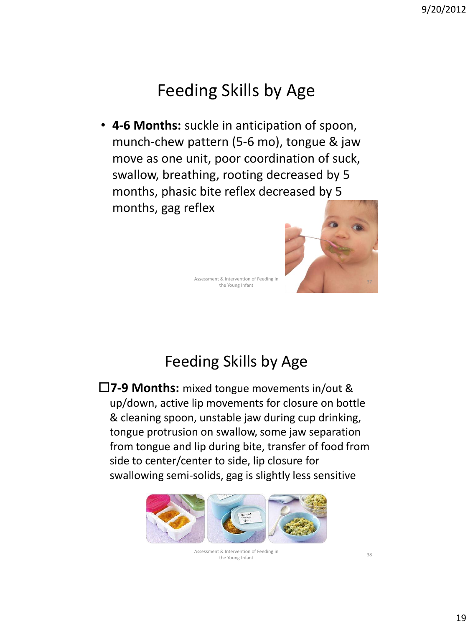## Feeding Skills by Age

• **4-6 Months:** suckle in anticipation of spoon, munch-chew pattern (5-6 mo), tongue & jaw move as one unit, poor coordination of suck, swallow, breathing, rooting decreased by 5 months, phasic bite reflex decreased by 5 months, gag reflex



Assessment & Intervention of Feeding in the Young Infant

#### Feeding Skills by Age

**7-9 Months:** mixed tongue movements in/out & up/down, active lip movements for closure on bottle & cleaning spoon, unstable jaw during cup drinking, tongue protrusion on swallow, some jaw separation from tongue and lip during bite, transfer of food from side to center/center to side, lip closure for swallowing semi-solids, gag is slightly less sensitive



Assessment & Intervention of Feeding in the Young Infant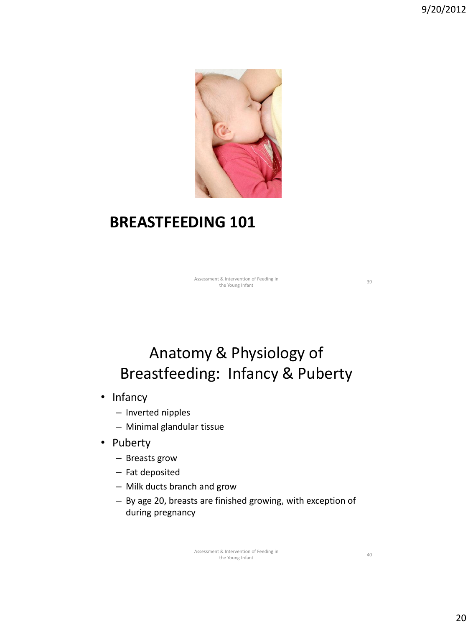

#### **BREASTFEEDING 101**

Assessment & Intervention of Feeding in it & Intervention of Feeding in<br>the Young Infant 39

### Anatomy & Physiology of Breastfeeding: Infancy & Puberty

- Infancy
	- Inverted nipples
	- Minimal glandular tissue
- Puberty
	- Breasts grow
	- Fat deposited
	- Milk ducts branch and grow
	- By age 20, breasts are finished growing, with exception of during pregnancy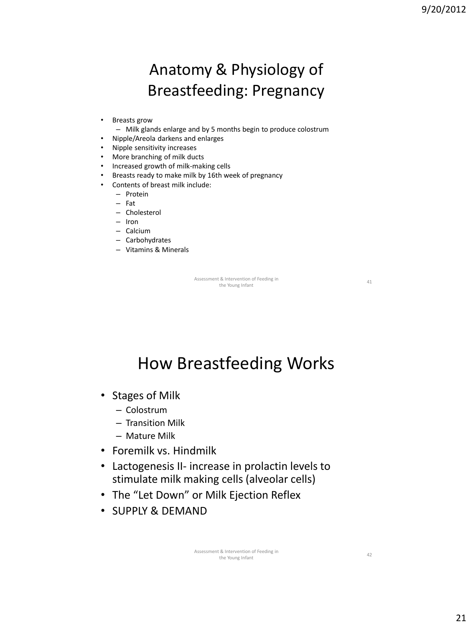## Anatomy & Physiology of Breastfeeding: Pregnancy

- Breasts grow
	- Milk glands enlarge and by 5 months begin to produce colostrum
- Nipple/Areola darkens and enlarges
- Nipple sensitivity increases
- More branching of milk ducts
- Increased growth of milk-making cells
- Breasts ready to make milk by 16th week of pregnancy
- Contents of breast milk include:
	- Protein
	- Fat
	- Cholesterol
	- Iron
	- Calcium
	- Carbohydrates
	- Vitamins & Minerals

Assessment & Intervention of Feeding in it & Intervention of Feeding in<br>
the Young Infant 41

## How Breastfeeding Works

- Stages of Milk
	- Colostrum
	- Transition Milk
	- Mature Milk
- Foremilk vs. Hindmilk
- Lactogenesis II- increase in prolactin levels to stimulate milk making cells (alveolar cells)
- The "Let Down" or Milk Ejection Reflex
- SUPPLY & DEMAND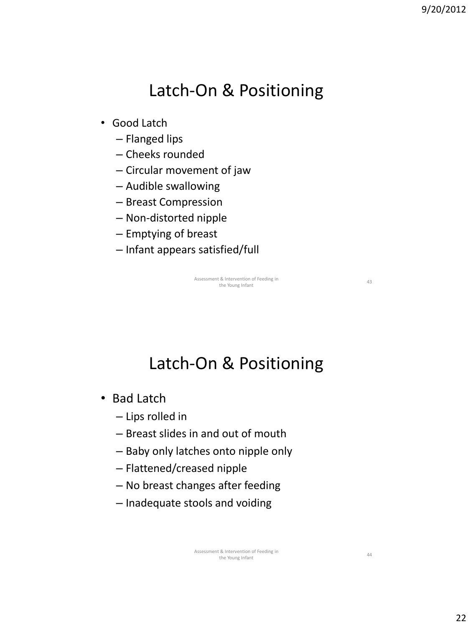## Latch-On & Positioning

- Good Latch
	- Flanged lips
	- Cheeks rounded
	- Circular movement of jaw
	- Audible swallowing
	- Breast Compression
	- Non-distorted nipple
	- Emptying of breast
	- Infant appears satisfied/full

Assessment & Intervention of Feeding in it & Intervention of Feeding in<br>the Young Infant 43

Latch-On & Positioning

- Bad Latch
	- Lips rolled in
	- Breast slides in and out of mouth
	- Baby only latches onto nipple only
	- Flattened/creased nipple
	- No breast changes after feeding
	- Inadequate stools and voiding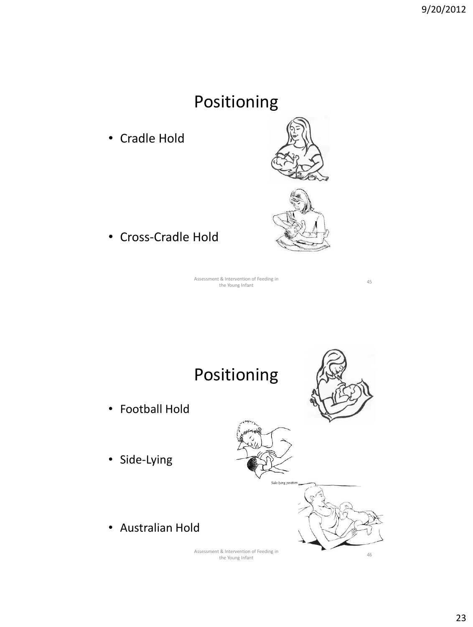## Positioning

• Cradle Hold



• Cross-Cradle Hold

Assessment & Intervention of Feeding in to the Young Infant 45<br>the Young Infant 45

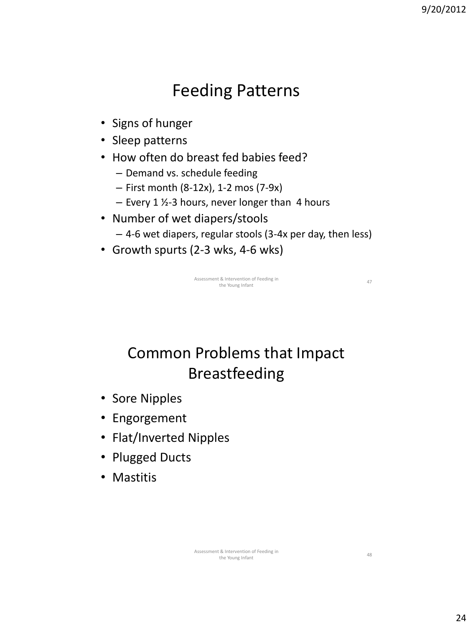## Feeding Patterns

- Signs of hunger
- Sleep patterns
- How often do breast fed babies feed?
	- Demand vs. schedule feeding
	- First month (8-12x), 1-2 mos (7-9x)
	- $-$  Every 1  $\frac{1}{2}$ -3 hours, never longer than 4 hours
- Number of wet diapers/stools
	- 4-6 wet diapers, regular stools (3-4x per day, then less)
- Growth spurts (2-3 wks, 4-6 wks)

Assessment & Intervention of Feeding in it & Intervention of Feeding in<br>
the Young Infant 47

Common Problems that Impact Breastfeeding

- Sore Nipples
- Engorgement
- Flat/Inverted Nipples
- Plugged Ducts
- Mastitis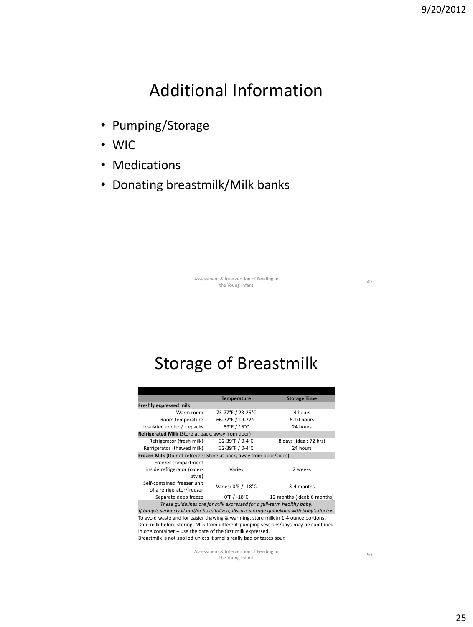## Additional Information

- Pumping/Storage
- WIC
- Medications
- Donating breastmilk/Milk banks

Assessment & Intervention of Feeding in it & Intervention of Feeding in<br>the Young Infant 49

Storage of Breastmilk

|                                                                    | <b>Temperature</b>               | <b>Storage Time</b>         |
|--------------------------------------------------------------------|----------------------------------|-----------------------------|
| <b>Freshly expressed milk</b>                                      |                                  |                             |
| Warm room                                                          | 73-77°F / 23-25°C                | 4 hours                     |
| Room temperature                                                   | 66-72°F / 19-22°C                | 6-10 hours                  |
| Insulated cooler / icepacks                                        | 59°F / 15°C                      | 24 hours                    |
| Refrigerated Milk (Store at back, away from door)                  |                                  |                             |
| Refrigerator (fresh milk)                                          | 32-39°F / 0-4°C                  | 8 days (ideal: 72 hrs)      |
| Refrigerator (thawed milk)                                         | 32-39°F / 0-4°C                  | 24 hours                    |
| Frozen Milk (Do not refreeze! Store at back, away from door/sides) |                                  |                             |
| Freezer compartment<br>inside refrigerator (older-<br>style)       | Varies                           | 2 weeks                     |
| Self-contained freezer unit<br>of a refrigerator/freezer           | Varies: 0°F / -18°C              | 3-4 months                  |
| Separate deep freeze                                               | $0^{\circ}$ F / -18 $^{\circ}$ C | 12 months (ideal: 6 months) |

*These guidelines are for milk expressed for a full-term healthy baby. If baby is seriously ill and/or hospitalized, discuss storage guidelines with baby's doctor.* To avoid waste and for easier thawing & warming, store milk in 1-4 ounce portions. Date milk before storing. Milk from different pumping sessions/days may be combined in one container – use the date of the first milk expressed. Breastmilk is not spoiled unless it smells really bad or tastes sour.